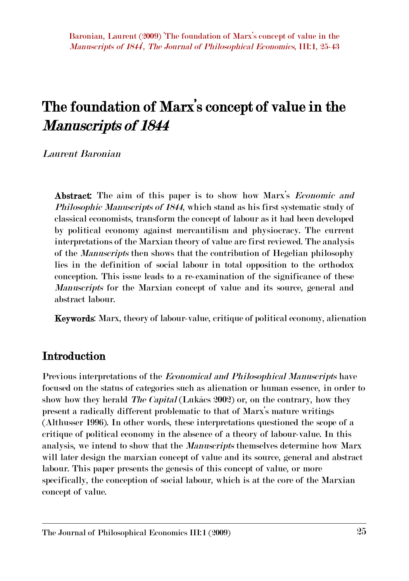# **The foundation of Marx's concept of value in the** *Manuscripts of 1844*

*Laurent Baronian*

**Abstract:** The aim of this paper is to show how Marx's *Economic and Philosophic Manuscripts of 1844*, which stand as his first systematic study of classical economists, transform the concept of labour as it had been developed by political economy against mercantilism and physiocracy. The current interpretations of the Marxian theory of value are first reviewed. The analysis of the *Manuscripts* then shows that the contribution of Hegelian philosophy lies in the definition of social labour in total opposition to the orthodox conception. This issue leads to a re-examination of the significance of these *Manuscripts* for the Marxian concept of value and its source, general and abstract labour.

**Keywords**: Marx, theory of labour-value, critique of political economy, alienation

#### **Introduction**

Previous interpretations of the *Economical and Philosophical Manuscripts* have focused on the status of categories such as alienation or human essence, in order to show how they herald *The Capital* (Lukács 2002) or, on the contrary, how they present a radically different problematic to that of Marx's mature writings (Althusser 1996). In other words, these interpretations questioned the scope of a critique of political economy in the absence of a theory of labour-value. In this analysis, we intend to show that the *Manuscripts* themselves determine how Marx will later design the marxian concept of value and its source, general and abstract labour. This paper presents the genesis of this concept of value, or more specifically, the conception of social labour, which is at the core of the Marxian concept of value.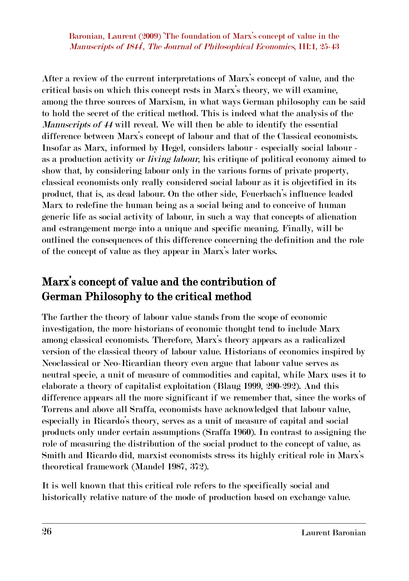After a review of the current interpretations of Marx's concept of value, and the critical basis on which this concept rests in Marx's theory, we will examine, among the three sources of Marxism, in what ways German philosophy can be said to hold the secret of the critical method. This is indeed what the analysis of the *Manuscripts of 44* will reveal. We will then be able to identify the essential difference between Marx's concept of labour and that of the Classical economists. Insofar as Marx, informed by Hegel, considers labour - especially social labour as a production activity or *living labour*, his critique of political economy aimed to show that, by considering labour only in the various forms of private property, classical economists only really considered social labour as it is objectified in its product, that is, as dead labour. On the other side, Feuerbach's influence leaded Marx to redefine the human being as a social being and to conceive of human generic life as social activity of labour, in such a way that concepts of alienation and estrangement merge into a unique and specific meaning. Finally, will be outlined the consequences of this difference concerning the definition and the role of the concept of value as they appear in Marx's later works.

## **Marx's concept of value and the contribution of German Philosophy to the critical method**

The farther the theory of labour value stands from the scope of economic investigation, the more historians of economic thought tend to include Marx among classical economists. Therefore, Marx's theory appears as a radicalized version of the classical theory of labour value. Historians of economics inspired by Neoclassical or Neo-Ricardian theory even argue that labour value serves as neutral specie, a unit of measure of commodities and capital, while Marx uses it to elaborate a theory of capitalist exploitation (Blaug 1999, 290-292). And this difference appears all the more significant if we remember that, since the works of Torrens and above all Sraffa, economists have acknowledged that labour value, especially in Ricardo's theory, serves as a unit of measure of capital and social products only under certain assumptions (Sraffa 1960). In contrast to assigning the role of measuring the distribution of the social product to the concept of value, as Smith and Ricardo did, marxist economists stress its highly critical role in Marx's theoretical framework (Mandel 1987, 372).

It is well known that this critical role refers to the specifically social and historically relative nature of the mode of production based on exchange value.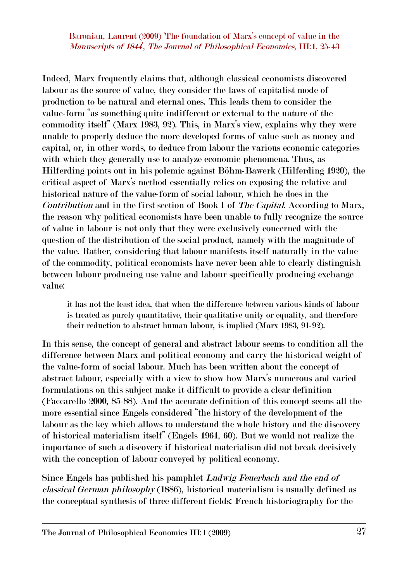Indeed, Marx frequently claims that, although classical economists discovered labour as the source of value, they consider the laws of capitalist mode of production to be natural and eternal ones. This leads them to consider the value-form "as something quite indifferent or external to the nature of the commodity itself" (Marx 1983, 92). This, in Marx's view, explains why they were unable to properly deduce the more developed forms of value such as money and capital, or, in other words, to deduce from labour the various economic categories with which they generally use to analyze economic phenomena. Thus, as Hilferding points out in his polemic against Böhm-Bawerk (Hilferding 1920), the critical aspect of Marx's method essentially relies on exposing the relative and historical nature of the valueform of social labour, which he does in the *Contribution* and in the first section of Book I of *The Capital*. According to Marx, the reason why political economists have been unable to fully recognize the source of value in labour is not only that they were exclusively concerned with the question of the distribution of the social product, namely with the magnitude of the value. Rather, considering that labour manifests itself naturally in the value of the commodity, political economists have never been able to clearly distinguish between labour producing use value and labour specifically producing exchange value:

it has not the least idea, that when the difference between various kinds of labour is treated as purely quantitative, their qualitative unity or equality, and therefore their reduction to abstract human labour, is implied (Marx 1983, 91-92).

In this sense, the concept of general and abstract labour seems to condition all the difference between Marx and political economy and carry the historical weight of the value-form of social labour. Much has been written about the concept of abstract labour, especially with a view to show how Marx's numerous and varied formulations on this subject make it difficult to provide a clear definition (Faccarello 2000, 85-88). And the accurate definition of this concept seems all the more essential since Engels considered "the history of the development of the labour as the key which allows to understand the whole history and the discovery of historical materialism itself" (Engels 1961, 60). But we would not realize the importance of such a discovery if historical materialism did not break decisively with the conception of labour conveyed by political economy.

Since Engels has published his pamphlet *Ludwig Feuerbach and the end of classical German philosophy* (1886), historical materialism is usually defined as the conceptual synthesis of three different fields: French historiography for the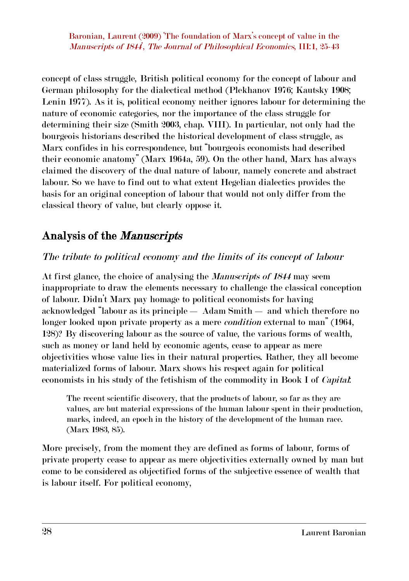concept of class struggle, British political economy for the concept of labour and German philosophy for the dialectical method (Plekhanov 1976; Kautsky 1908; Lenin 1977). As it is, political economy neither ignores labour for determining the nature of economic categories, nor the importance of the class struggle for determining their size (Smith 2003, chap. VIII). In particular, not only had the bourgeois historians described the historical development of class struggle, as Marx confides in his correspondence, but "bourgeois economists had described their economic anatomy" (Marx 1964a, 59). On the other hand, Marx has always claimed the discovery of the dual nature of labour, namely concrete and abstract labour. So we have to find out to what extent Hegelian dialectics provides the basis for an original conception of labour that would not only differ from the classical theory of value, but clearly oppose it.

### **Analysis of the** *Manuscripts*

#### *The tribute to political economy and the limits of its concept of labour*

At first glance, the choice of analysing the *Manuscripts of 1844* may seem inappropriate to draw the elements necessary to challenge the classical conception of labour. Didn't Marx pay homage to political economists for having acknowledged "labour as its principle — Adam Smith — and which therefore no longer looked upon private property as a mere *condition* external to man" (1964, 128)? By discovering labour as the source of value, the various forms of wealth, such as money or land held by economic agents, cease to appear as mere objectivities whose value lies in their natural properties. Rather, they all become materialized forms of labour. Marx shows his respect again for political economists in his study of the fetishism of the commodity in Book I of *Capital*:

The recent scientific discovery, that the products of labour, so far as they are values, are but material expressions of the human labour spent in their production, marks, indeed, an epoch in the history of the development of the human race. (Marx 1983, 85).

More precisely, from the moment they are defined as forms of labour, forms of private property cease to appear as mere objectivities externally owned by man but come to be considered as objectified forms of the subjective essence of wealth that is labour itself. For political economy,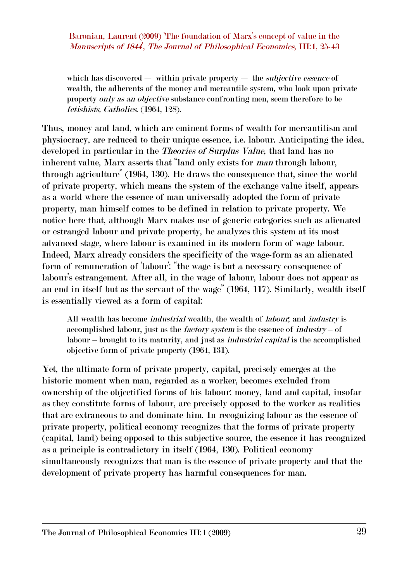which has discovered — within private property — the *subjective essence* of wealth, the adherents of the money and mercantile system, who look upon private property *only as an objective* substance confronting men, seem therefore to be *fetishists, Catholics*. (1964, 128).

Thus, money and land, which are eminent forms of wealth for mercantilism and physiocracy, are reduced to their unique essence, i.e. labour. Anticipating the idea, developed in particular in the *Theories of Surplus Value*, that land has no inherent value, Marx asserts that "land only exists for *man* through labour, through agriculture" (1964, 130). He draws the consequence that, since the world of private property, which means the system of the exchange value itself, appears as a world where the essence of man universally adopted the form of private property, man himself comes to be defined in relation to private property. We notice here that, although Marx makes use of generic categories such as alienated or estranged labour and private property, he analyzes this system at its most advanced stage, where labour is examined in its modern form of wage labour. Indeed, Marx already considers the specificity of the wage-form as an alienated form of remuneration of 'labour': "the wage is but a necessary consequence of labour's estrangement. After all, in the wage of labour, labour does not appear as an end in itself but as the servant of the wage" (1964, 117). Similarly, wealth itself is essentially viewed as a form of capital:

All wealth has become *industrial* wealth, the wealth of *labour*; and *industry* is accomplished labour, just as the *factory system* is the essence of *industry* – of labour – brought to its maturity, and just as *industrial capital* is the accomplished objective form of private property (1964, 131).

Yet, the ultimate form of private property, capital, precisely emerges at the historic moment when man, regarded as a worker, becomes excluded from ownership of the objectified forms of his labour: money, land and capital, insofar as they constitute forms of labour, are precisely opposed to the worker as realities that are extraneous to and dominate him. In recognizing labour as the essence of private property, political economy recognizes that the forms of private property (capital, land) being opposed to this subjective source, the essence it has recognized as a principle is contradictory in itself (1964, 130). Political economy simultaneously recognizes that man is the essence of private property and that the development of private property has harmful consequences for man.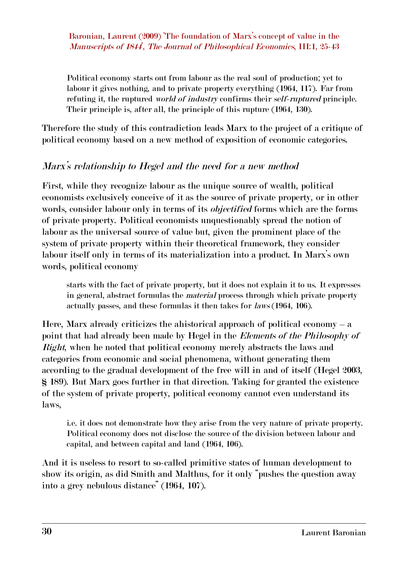Political economy starts out from labour as the real soul of production; yet to labour it gives nothing, and to private property everything (1964, 117). Far from refuting it, the ruptured *world of industry* confirms their *self-ruptured* principle. Their principle is, after all, the principle of this rupture (1964, 130).

Therefore the study of this contradiction leads Marx to the project of a critique of political economy based on a new method of exposition of economic categories.

#### *Marx's relationship to Hegel and the need for a new method*

First, while they recognize labour as the unique source of wealth, political economists exclusively conceive of it as the source of private property, or in other words, consider labour only in terms of its *objectified* forms which are the forms of private property. Political economists unquestionably spread the notion of labour as the universal source of value but, given the prominent place of the system of private property within their theoretical framework, they consider labour itself only in terms of its materialization into a product. In Marx's own words, political economy

starts with the fact of private property, but it does not explain it to us. It expresses in general, abstract formulas the *material* process through which private property actually passes, and these formulas it then takes for *laws* (1964, 106).

Here, Marx already criticizes the ahistorical approach of political economy  $-$  a point that had already been made by Hegel in the *Elements of the Philosophy of Right*, when he noted that political economy merely abstracts the laws and categories from economic and social phenomena, without generating them according to the gradual development of the free will in and of itself (Hegel 2003, § 189). But Marx goes further in that direction. Taking for granted the existence of the system of private property, political economy cannot even understand its laws,

i.e. it does not demonstrate how they arise from the very nature of private property. Political economy does not disclose the source of the division between labour and capital, and between capital and land (1964, 106).

And it is useless to resort to so-called primitive states of human development to show its origin, as did Smith and Malthus, for it only "pushes the question away into a grey nebulous distance" (1964, 107).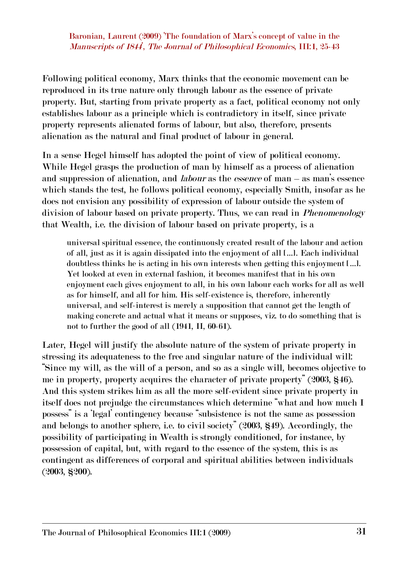Following political economy, Marx thinks that the economic movement can be reproduced in its true nature only through labour as the essence of private property. But, starting from private property as a fact, political economy not only establishes labour as a principle which is contradictory in itself, since private property represents alienated forms of labour, but also, therefore, presents alienation as the natural and final product of labour in general.

In a sense Hegel himself has adopted the point of view of political economy. While Hegel grasps the production of man by himself as a process of alienation and suppression of alienation, and *labour* as the *essence* of man – as man's essence which stands the test, he follows political economy, especially Smith, insofar as he does not envision any possibility of expression of labour outside the system of division of labour based on private property. Thus, we can read in *Phenomenology* that Wealth, i.e. the division of labour based on private property, is a

universal spiritual essence, the continuously created result of the labour and action of all, just as it is again dissipated into the enjoyment of all […]. Each individual doubtless thinks he is acting in his own interests when getting this enjoyment […]. Yet looked at even in external fashion, it becomes manifest that in his own enjoyment each gives enjoyment to all, in his own labour each works for all as well as for himself, and all for him. His self-existence is, therefore, inherently universal, and self-interest is merely a supposition that cannot get the length of making concrete and actual what it means or supposes, viz. to do something that is not to further the good of all  $(1941, \Pi, 60-61)$ .

Later, Hegel will justify the absolute nature of the system of private property in stressing its adequateness to the free and singular nature of the individual will: "Since my will, as the will of a person, and so as a single will, becomes objective to me in property, property acquires the character of private property" (2003, §46). And this system strikes him as all the more self-evident since private property in itself does not prejudge the circumstances which determine "what and how much I possess" is a 'legal' contingency because "subsistence is not the same as possession and belongs to another sphere, i.e. to civil society" (2003, §49). Accordingly, the possibility of participating in Wealth is strongly conditioned, for instance, by possession of capital, but, with regard to the essence of the system, this is as contingent as differences of corporal and spiritual abilities between individuals (2003, §200).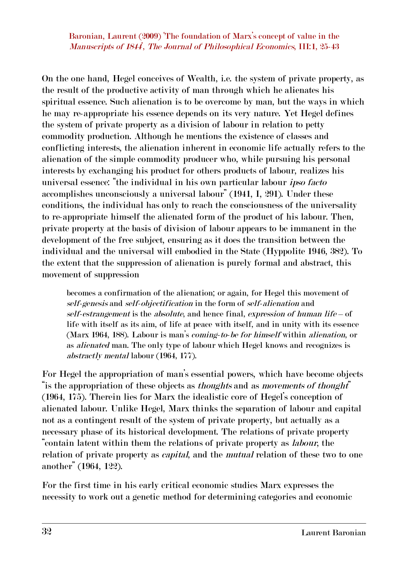On the one hand, Hegel conceives of Wealth, i.e. the system of private property, as the result of the productive activity of man through which he alienates his spiritual essence. Such alienation is to be overcome by man, but the ways in which he may re-appropriate his essence depends on its very nature. Yet Hegel defines the system of private property as a division of labour in relation to petty commodity production. Although he mentions the existence of classes and conflicting interests, the alienation inherent in economic life actually refers to the alienation of the simple commodity producer who, while pursuing his personal interests by exchanging his product for others products of labour, realizes his universal essence: "the individual in his own particular labour *ipso facto* accomplishes unconsciously a universal labour" (1941, I, 291). Under these conditions, the individual has only to reach the consciousness of the universality to re-appropriate himself the alienated form of the product of his labour. Then, private property at the basis of division of labour appears to be immanent in the development of the free subject, ensuring as it does the transition between the individual and the universal will embodied in the State (Hyppolite 1946, 382). To the extent that the suppression of alienation is purely formal and abstract, this movement of suppression

becomes a confirmation of the alienation; or again, for Hegel this movement of *self-genesis* and *self-objectification* in the form of *self-alienation* and *self-estrangement* is the *absolute*, and hence final, *expression of human life* – of life with itself as its aim, of life at peace with itself, and in unity with its essence (Marx 1964, 188). Labour is man's *coming-to-be for himself* within *alienation*, or as *alienated* man. The only type of labour which Hegel knows and recognizes is *abstractly mental* labour (1964, 177).

For Hegel the appropriation of man's essential powers, which have become objects "is the appropriation of these objects as *thoughts* and as *movements of thought*" (1964, 175). Therein lies for Marx the idealistic core of Hegel's conception of alienated labour. Unlike Hegel, Marx thinks the separation of labour and capital not as a contingent result of the system of private property, but actually as a necessary phase of its historical development. The relations of private property "contain latent within them the relations of private property as *labour*, the relation of private property as *capital*, and the *mutual* relation of these two to one another" (1964, 122).

For the first time in his early critical economic studies Marx expresses the necessity to work out a genetic method for determining categories and economic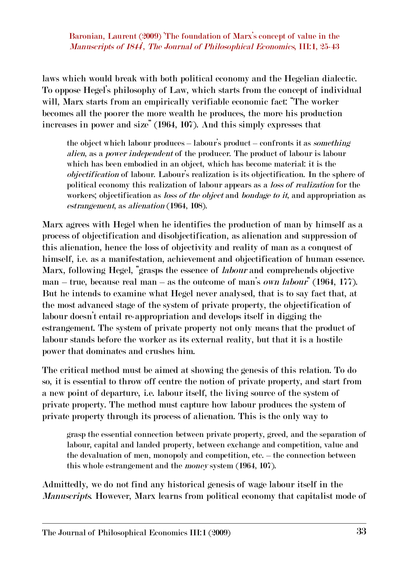laws which would break with both political economy and the Hegelian dialectic. To oppose Hegel's philosophy of Law, which starts from the concept of individual will, Marx starts from an empirically verifiable economic fact: "The worker becomes all the poorer the more wealth he produces, the more his production increases in power and size" (1964, 107). And this simply expresses that

the object which labour produces – labour's product – confronts it as *something alien*, as a *power independent* of the producer. The product of labour is labour which has been embodied in an object, which has become material: it is the *objectification* of labour. Labour's realization is its objectification. In the sphere of political economy this realization of labour appears as a *loss of realization* for the workers; objectification as *loss of the object* and *bondage to it*, and appropriation as *estrangement*, as *alienation* (1964, 108).

Marx agrees with Hegel when he identifies the production of man by himself as a process of objectification and disobjectification, as alienation and suppression of this alienation, hence the loss of objectivity and reality of man as a conquest of himself, i.e. as a manifestation, achievement and objectification of human essence. Marx, following Hegel, "grasps the essence of *labour* and comprehends objective man – true, because real man – as the outcome of man's *own labour*" (1964, 177). But he intends to examine what Hegel never analysed, that is to say fact that, at the most advanced stage of the system of private property, the objectification of labour doesn't entail re-appropriation and develops itself in digging the estrangement. The system of private property not only means that the product of labour stands before the worker as its external reality, but that it is a hostile power that dominates and crushes him.

The critical method must be aimed at showing the genesis of this relation. To do so, it is essential to throw off centre the notion of private property, and start from a new point of departure, i.e. labour itself, the living source of the system of private property. The method must capture how labour produces the system of private property through its process of alienation. This is the only way to

grasp the essential connection between private property, greed, and the separation of labour, capital and landed property, between exchange and competition, value and the devaluation of men, monopoly and competition, etc. – the connection between this whole estrangement and the *money* system (1964, 107).

Admittedly, we do not find any historical genesis of wage labour itself in the *Manuscripts*. However, Marx learns from political economy that capitalist mode of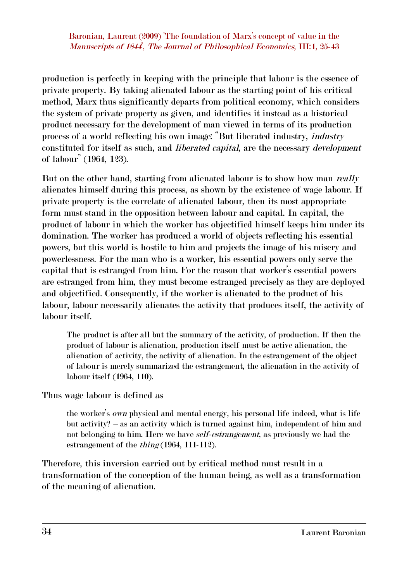production is perfectly in keeping with the principle that labour is the essence of private property. By taking alienated labour as the starting point of his critical method, Marx thus significantly departs from political economy, which considers the system of private property as given, and identifies it instead as a historical product necessary for the development of man viewed in terms of its production process of a world reflecting his own image: "But liberated industry, *industry* constituted for itself as such, and *liberated capital*, are the necessary *development* of labour" (1964, 123).

But on the other hand, starting from alienated labour is to show how man *really* alienates himself during this process, as shown by the existence of wage labour. If private property is the correlate of alienated labour, then its most appropriate form must stand in the opposition between labour and capital. In capital, the product of labour in which the worker has objectified himself keeps him under its domination. The worker has produced a world of objects reflecting his essential powers, but this world is hostile to him and projects the image of his misery and powerlessness. For the man who is a worker, his essential powers only serve the capital that is estranged from him. For the reason that worker's essential powers are estranged from him, they must become estranged precisely as they are deployed and objectified. Consequently, if the worker is alienated to the product of his labour, labour necessarily alienates the activity that produces itself, the activity of labour itself.

The product is after all but the summary of the activity, of production. If then the product of labour is alienation, production itself must be active alienation, the alienation of activity, the activity of alienation. In the estrangement of the object of labour is merely summarized the estrangement, the alienation in the activity of labour itself (1964, 110).

Thus wage labour is defined as

the worker's *own* physical and mental energy, his personal life indeed, what is life but activity? – as an activity which is turned against him, independent of him and not belonging to him. Here we have *self-estrangement*, as previously we had the estrangement of the *thing* (1964, 111-112).

Therefore, this inversion carried out by critical method must result in a transformation of the conception of the human being, as well as a transformation of the meaning of alienation.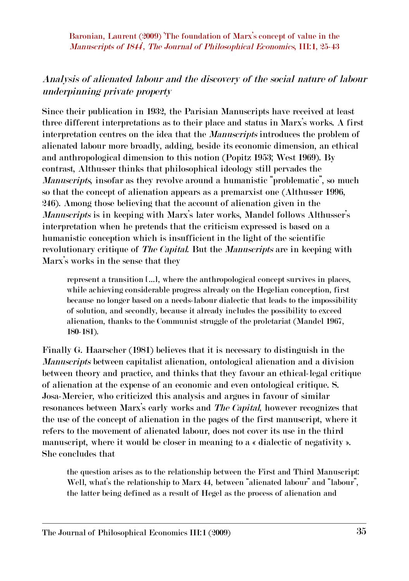#### *Analysis of alienated labour and the discovery of the social nature of labour underpinning private property*

Since their publication in 1932, the Parisian Manuscripts have received at least three different interpretations as to their place and status in Marx's works. A first interpretation centres on the idea that the *Manuscripts* introduces the problem of alienated labour more broadly, adding, beside its economic dimension, an ethical and anthropological dimension to this notion (Popitz 1953; West 1969). By contrast, Althusser thinks that philosophical ideology still pervades the *Manuscripts*, insofar as they revolve around a humanistic "problematic", so much so that the concept of alienation appears as a premarxist one (Althusser 1996, 246). Among those believing that the account of alienation given in the *Manuscripts* is in keeping with Marx's later works, Mandel follows Althusser's interpretation when he pretends that the criticism expressed is based on a humanistic conception which is insufficient in the light of the scientific revolutionary critique of *The Capital*. But the *Manuscripts* are in keeping with Marx's works in the sense that they

represent a transition […], where the anthropological concept survives in places, while achieving considerable progress already on the Hegelian conception, first because no longer based on a needs-labour dialectic that leads to the impossibility of solution, and secondly, because it already includes the possibility to exceed alienation, thanks to the Communist struggle of the proletariat (Mandel 1967, 180-181).

Finally G. Haarscher (1981) believes that it is necessary to distinguish in the *Manuscripts* between capitalist alienation, ontological alienation and a division between theory and practice, and thinks that they favour an ethical-legal critique of alienation at the expense of an economic and even ontological critique. S. Josa-Mercier, who criticized this analysis and argues in favour of similar resonances between Marx's early works and *The Capital*, however recognizes that the use of the concept of alienation in the pages of the first manuscript, where it refers to the movement of alienated labour, does not cover its use in the third manuscript, where it would be closer in meaning to a « dialectic of negativity ». She concludes that

the question arises as to the relationship between the First and Third Manuscript: Well, what's the relationship to Marx 44, between "alienated labour" and "labour", the latter being defined as a result of Hegel as the process of alienation and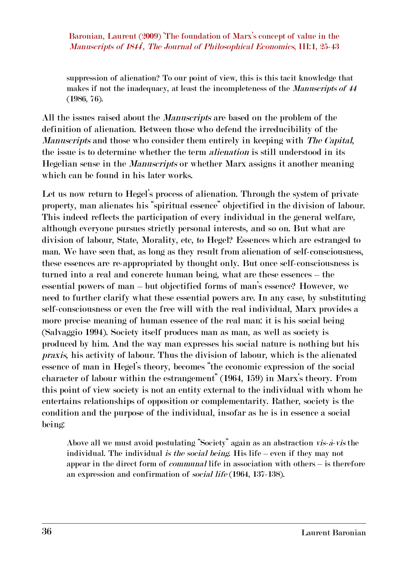suppression of alienation? To our point of view, this is this tacit knowledge that makes if not the inadequacy, at least the incompleteness of the *Manuscripts of 44* (1986, 76).

All the issues raised about the *Manuscripts* are based on the problem of the definition of alienation. Between those who defend the irreducibility of the *Manuscripts* and those who consider them entirely in keeping with *The Capital*, the issue is to determine whether the term *alienation* is still understood in its Hegelian sense in the *Manuscripts* or whether Marx assigns it another meaning which can be found in his later works.

Let us now return to Hegel's process of alienation. Through the system of private property, man alienates his "spiritual essence" objectified in the division of labour. This indeed reflects the participation of every individual in the general welfare, although everyone pursues strictly personal interests, and so on. But what are division of labour, State, Morality, etc, to Hegel? Essences which are estranged to man. We have seen that, as long as they result from alienation of self-consciousness, these essences are re-appropriated by thought only. But once self-consciousness is turned into a real and concrete human being, what are these essences – the essential powers of man – but objectified forms of man's essence? However, we need to further clarify what these essential powers are. In any case, by substituting self-consciousness or even the free will with the real individual, Marx provides a more precise meaning of human essence of the real man: it is his social being (Salvaggio 1994). Society itself produces man as man, as well as society is produced by him. And the way man expresses his social nature is nothing but his *praxis*, his activity of labour. Thus the division of labour, which is the alienated essence of man in Hegel's theory, becomes "the economic expression of the social character of labour within the estrangement" (1964, 159) in Marx's theory. From this point of view society is not an entity external to the individual with whom he entertains relationships of opposition or complementarity. Rather, society is the condition and the purpose of the individual, insofar as he is in essence a social being:

Above all we must avoid postulating "Society" again as an abstraction *vis-à-vis* the individual. The individual *is the social being*. His life – even if they may not appear in the direct form of *communal* life in association with others – is therefore an expression and confirmation of *social life* (1964, 137-138).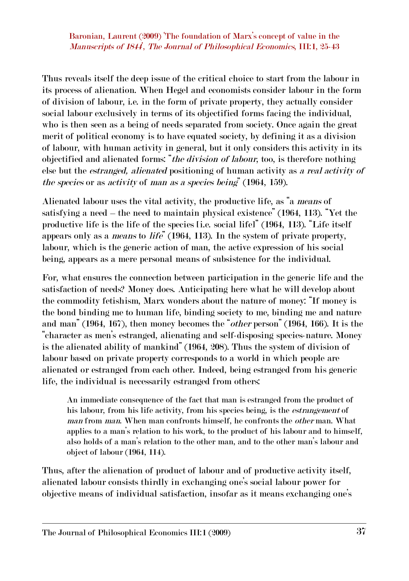Thus reveals itself the deep issue of the critical choice to start from the labour in its process of alienation. When Hegel and economists consider labour in the form of division of labour, i.e. in the form of private property, they actually consider social labour exclusively in terms of its objectified forms facing the individual, who is then seen as a being of needs separated from society. Once again the great merit of political economy is to have equated society, by defining it as a division of labour, with human activity in general, but it only considers this activity in its objectified and alienated forms: "*the division of labour*, too, is therefore nothing else but the *estranged, alienated* positioning of human activity as *a real activity of the species* or as *activity* of *man as a species being*" (1964, 159).

Alienated labour uses the vital activity, the productive life, as "a *means* of satisfying a need – the need to maintain physical existence" (1964, 113). "Yet the productive life is the life of the species [i.e. social life]" (1964, 113). "Life itself appears only as a *means* to *life*" (1964, 113). In the system of private property, labour, which is the generic action of man, the active expression of his social being, appears as a mere personal means of subsistence for the individual.

For, what ensures the connection between participation in the generic life and the satisfaction of needs? Money does. Anticipating here what he will develop about the commodity fetishism, Marx wonders about the nature of money: "If money is the bond binding me to human life, binding society to me, binding me and nature and man" (1964, 167), then money becomes the "*other* person" (1964, 166). It is the "character as men's estranged, alienating and self-disposing species-nature. Money is the alienated ability of mankind" (1964, 208). Thus the system of division of labour based on private property corresponds to a world in which people are alienated or estranged from each other. Indeed, being estranged from his generic life, the individual is necessarily estranged from others:

An immediate consequence of the fact that man is estranged from the product of his labour, from his life activity, from his species being, is the *estrangement* of *man* from *man*. When man confronts himself, he confronts the *other* man. What applies to a man's relation to his work, to the product of his labour and to himself, also holds of a man's relation to the other man, and to the other man's labour and object of labour (1964, 114).

Thus, after the alienation of product of labour and of productive activity itself, alienated labour consists thirdly in exchanging one's social labour power for objective means of individual satisfaction, insofar as it means exchanging one's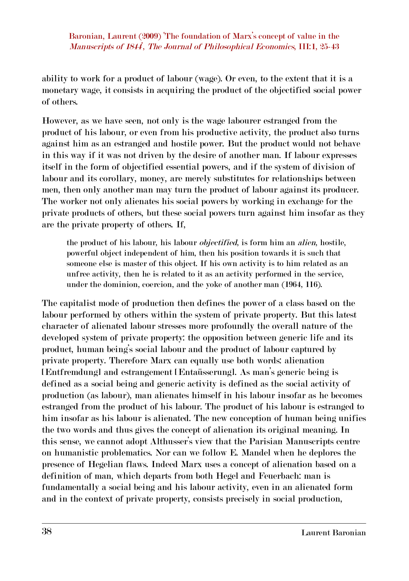ability to work for a product of labour (wage). Or even, to the extent that it is a monetary wage, it consists in acquiring the product of the objectified social power of others.

However, as we have seen, not only is the wage labourer estranged from the product of his labour, or even from his productive activity, the product also turns against him as an estranged and hostile power. But the product would not behave in this way if it was not driven by the desire of another man. If labour expresses itself in the form of objectified essential powers, and if the system of division of labour and its corollary, money, are merely substitutes for relationships between men, then only another man may turn the product of labour against its producer. The worker not only alienates his social powers by working in exchange for the private products of others, but these social powers turn against him insofar as they are the private property of others. If,

the product of his labour, his labour *objectified*, is form him an *alien*, hostile, powerful object independent of him, then his position towards it is such that someone else is master of this object. If his own activity is to him related as an unfree activity, then he is related to it as an activity performed in the service, under the dominion, coercion, and the yoke of another man (1964, 116).

The capitalist mode of production then defines the power of a class based on the labour performed by others within the system of private property. But this latest character of alienated labour stresses more profoundly the overall nature of the developed system of private property: the opposition between generic life and its product, human being's social labour and the product of labour captured by private property. Therefore Marx can equally use both words: alienation [Entfremdung] and estrangement [Entaüsserung]. As man's generic being is defined as a social being and generic activity is defined as the social activity of production (as labour), man alienates himself in his labour insofar as he becomes estranged from the product of his labour. The product of his labour is estranged to him insofar as his labour is alienated. The new conception of human being unifies the two words and thus gives the concept of alienation its original meaning. In this sense, we cannot adopt Althusser's view that the Parisian Manuscripts centre on humanistic problematics. Nor can we follow E. Mandel when he deplores the presence of Hegelian flaws. Indeed Marx uses a concept of alienation based on a definition of man, which departs from both Hegel and Feuerbach: man is fundamentally a social being and his labour activity, even in an alienated form and in the context of private property, consists precisely in social production,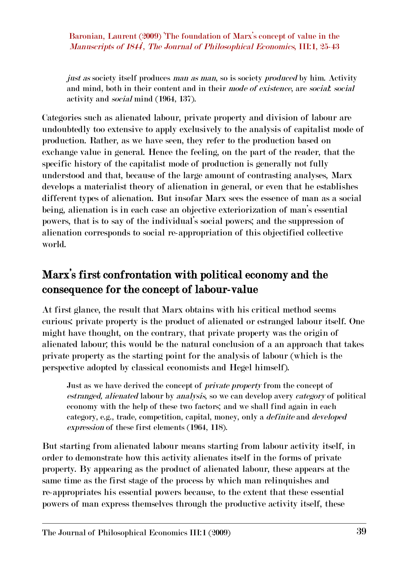*just as* society itself produces *man as man*, so is society *produced* by him. Activity and mind, both in their content and in their *mode of existence*, are *social*: *social* activity and *social* mind (1964, 137).

Categories such as alienated labour, private property and division of labour are undoubtedly too extensive to apply exclusively to the analysis of capitalist mode of production. Rather, as we have seen, they refer to the production based on exchange value in general. Hence the feeling, on the part of the reader, that the specific history of the capitalist mode of production is generally not fully understood and that, because of the large amount of contrasting analyses, Marx develops a materialist theory of alienation in general, or even that he establishes different types of alienation. But insofar Marx sees the essence of man as a social being, alienation is in each case an objective exteriorization of man's essential powers, that is to say of the individual's social powers; and the suppression of alienation corresponds to social reappropriation of this objectified collective world.

## **Marx's first confrontation with political economy and the consequence for the concept of labour-value**

At first glance, the result that Marx obtains with his critical method seems curious: private property is the product of alienated or estranged labour itself. One might have thought, on the contrary, that private property was the origin of alienated labour; this would be the natural conclusion of a an approach that takes private property as the starting point for the analysis of labour (which is the perspective adopted by classical economists and Hegel himself).

Just as we have derived the concept of *private property* from the concept of *estranged, alienated* labour by *analysis*, so we can develop avery *category* of political economy with the help of these two factors; and we shall find again in each category, e.g., trade, competition, capital, money, only a *definite* and *developed expression* of these first elements (1964, 118).

But starting from alienated labour means starting from labour activity itself, in order to demonstrate how this activity alienates itself in the forms of private property. By appearing as the product of alienated labour, these appears at the same time as the first stage of the process by which man relinquishes and reappropriates his essential powers because, to the extent that these essential powers of man express themselves through the productive activity itself, these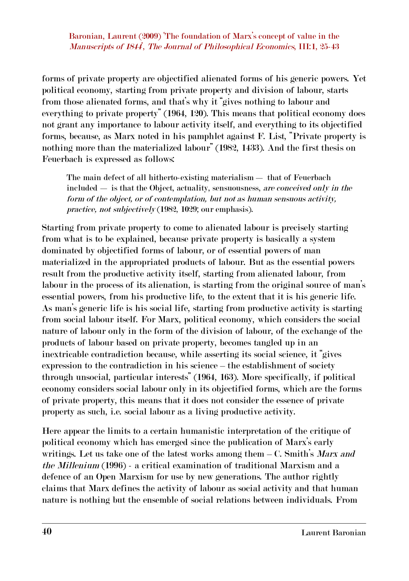forms of private property are objectified alienated forms of his generic powers. Yet political economy, starting from private property and division of labour, starts from those alienated forms, and that's why it "gives nothing to labour and everything to private property" (1964, 120). This means that political economy does not grant any importance to labour activity itself, and everything to its objectified forms, because, as Marx noted in his pamphlet against F. List, "Private property is nothing more than the materialized labour" (1982, 1433). And the first thesis on Feuerbach is expressed as follows:

The main defect of all hitherto-existing materialism — that of Feuerbach included — is that the Object, actuality, sensuousness, *are conceived only in the form of the object, or of contemplation, but not as human sensuous activity, practice, not subjectively* (1982, 1029; our emphasis).

Starting from private property to come to alienated labour is precisely starting from what is to be explained, because private property is basically a system dominated by objectified forms of labour, or of essential powers of man materialized in the appropriated products of labour. But as the essential powers result from the productive activity itself, starting from alienated labour, from labour in the process of its alienation, is starting from the original source of man's essential powers, from his productive life, to the extent that it is his generic life. As man's generic life is his social life, starting from productive activity is starting from social labour itself. For Marx, political economy, which considers the social nature of labour only in the form of the division of labour, of the exchange of the products of labour based on private property, becomes tangled up in an inextricable contradiction because, while asserting its social science, it "gives expression to the contradiction in his science – the establishment of society through unsocial, particular interests" (1964, 163). More specifically, if political economy considers social labour only in its objectified forms, which are the forms of private property, this means that it does not consider the essence of private property as such, i.e. social labour as a living productive activity.

Here appear the limits to a certain humanistic interpretation of the critique of political economy which has emerged since the publication of Marx's early writings. Let us take one of the latest works among them – C. Smith's *Marx and the Millenium* (1996) a critical examination of traditional Marxism and a defence of an Open Marxism for use by new generations. The author rightly claims that Marx defines the activity of labour as social activity and that human nature is nothing but the ensemble of social relations between individuals. From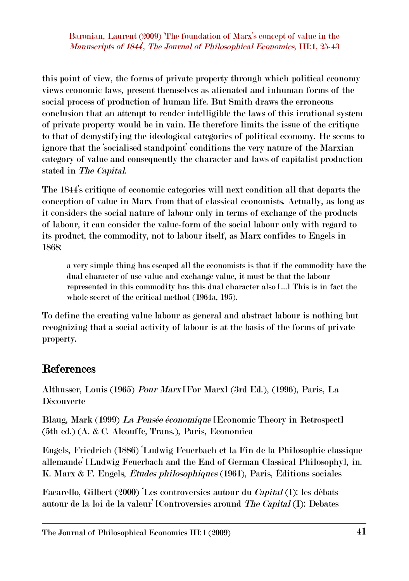this point of view, the forms of private property through which political economy views economic laws, present themselves as alienated and inhuman forms of the social process of production of human life. But Smith draws the erroneous conclusion that an attempt to render intelligible the laws of this irrational system of private property would be in vain. He therefore limits the issue of the critique to that of demystifying the ideological categories of political economy. He seems to ignore that the 'socialised standpoint' conditions the very nature of the Marxian category of value and consequently the character and laws of capitalist production stated in *The Capital*.

The 1844's critique of economic categories will next condition all that departs the conception of value in Marx from that of classical economists. Actually, as long as it considers the social nature of labour only in terms of exchange of the products of labour, it can consider the valueform of the social labour only with regard to its product, the commodity, not to labour itself, as Marx confides to Engels in 1868:

a very simple thing has escaped all the economists is that if the commodity have the dual character of use value and exchange value, it must be that the labour represented in this commodity has this dual character also […] This is in fact the whole secret of the critical method (1964a, 195).

To define the creating value labour as general and abstract labour is nothing but recognizing that a social activity of labour is at the basis of the forms of private property.

#### **References**

Althusser, Louis (1965) *Pour Marx* [For Marx] (3rd Ed.), (1996), Paris, La Découverte

Blaug, Mark (1999) *La Pensée économique* [Economic Theory in Retrospect] (5th ed.) (A. & C. Alcouffe, Trans.), Paris, Economica

Engels, Friedrich (1886) 'Ludwig Feuerbach et la Fin de la Philosophie classique allemande' [Ludwig Feuerbach and the End of German Classical Philosophy], in. K. Marx & F. Engels, *Études philosophiques* (1961), Paris, Éditions sociales

Facarello, Gilbert (2000) 'Les controversies autour du *Capital* (I): les débats autour de la loi de la valeur' [Controversies around *The Capital* (I): Debates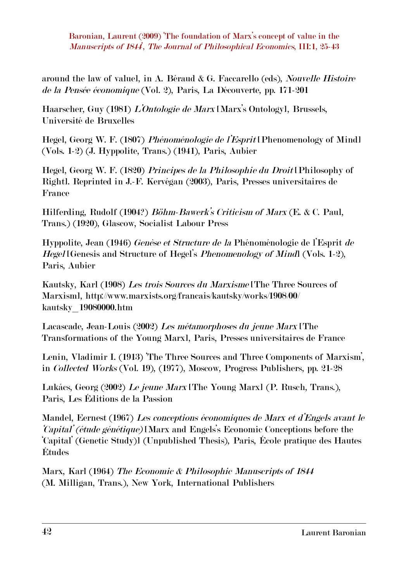around the law of value], in A. Béraud & G. Faccarello (eds), *Nouvelle Histoire de la Pensée économique* (Vol. 2), Paris, La Découverte, pp. 171-201

Haarscher, Guy (1981) *L'Ontologie de Marx* [Marx's Ontology], Brussels, Université de Bruxelles

Hegel, Georg W. F. (1807) *Phénoménologie de l'Esprit* [Phenomenology of Mind] (Vols. 12) (J. Hyppolite, Trans.) (1941), Paris, Aubier

Hegel, Georg W. F. (1820) *Principes de la Philosophie du Droit* [Philosophy of Right]. Reprinted in J.F. Kervégan (2003), Paris, Presses universitaires de France

Hilferding, Rudolf (1904?) *Böhm-Bawerk's Criticism of Marx* (E. & C. Paul, Trans.) (1920), Glascow, Socialist Labour Press

Hyppolite, Jean (1946) *Genèse et Structure de la* Phénoménologie de l'Esprit *de Hegel* [Genesis and Structure of Hegel's *Phenomenology of Mind*] (Vols. 1-2), Paris, Aubier

Kautsky, Karl (1908) *Les trois Sources du Marxisme* [The Three Sources of Marxism], http://www.marxists.org/francais/kautsky/works/1908/00/ kautsky\_19080000.htm

Lacascade, Jean-Louis (2002) *Les métamorphoses du jeune Marx* [The Transformations of the Young Marx], Paris, Presses universitaires de France

Lenin, Vladimir I. (1913) 'The Three Sources and Three Components of Marxism', in *Collected Works* (Vol. 19), (1977), Moscow, Progress Publishers, pp. 2128

Lukács, Georg (2002) *Le jeune Marx* [The Young Marx] (P. Rusch, Trans.), Paris, Les Éditions de la Passion

Mandel, Eernest (1967) *Les conceptions économiques de Marx et d'Engels avant le 'Capital' (étude génétique)* [Marx and Engels's Economic Conceptions before the 'Capital' (Genetic Study)] (Unpublished Thesis), Paris, École pratique des Hautes Études

Marx, Karl (1964) *The Economic & Philosophic Manuscripts of 1844* (M. Milligan, Trans.), New York, International Publishers